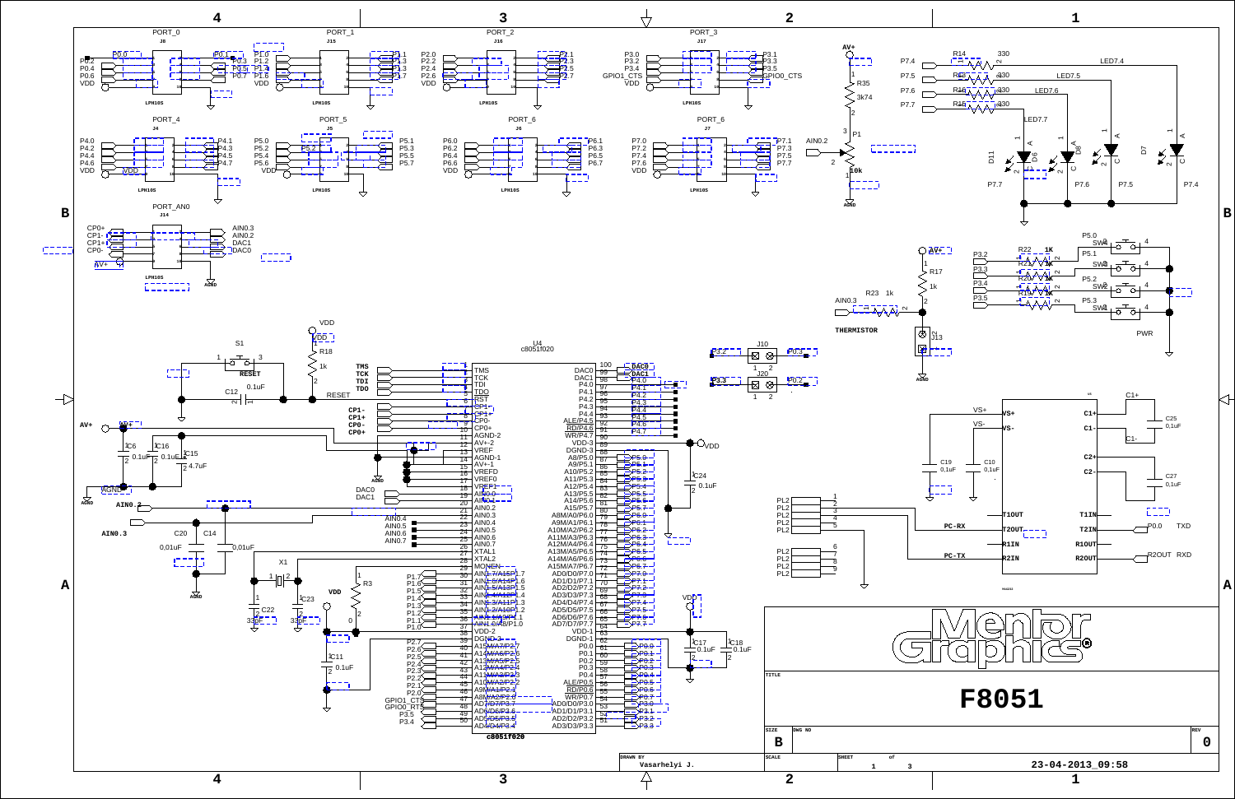<span id="page-0-150"></span><span id="page-0-149"></span><span id="page-0-147"></span><span id="page-0-146"></span><span id="page-0-145"></span><span id="page-0-139"></span><span id="page-0-138"></span><span id="page-0-136"></span><span id="page-0-135"></span><span id="page-0-134"></span><span id="page-0-132"></span><span id="page-0-129"></span><span id="page-0-127"></span><span id="page-0-126"></span><span id="page-0-124"></span><span id="page-0-121"></span><span id="page-0-120"></span><span id="page-0-119"></span><span id="page-0-117"></span><span id="page-0-116"></span><span id="page-0-114"></span><span id="page-0-113"></span><span id="page-0-112"></span><span id="page-0-111"></span><span id="page-0-110"></span><span id="page-0-109"></span><span id="page-0-108"></span><span id="page-0-107"></span><span id="page-0-105"></span><span id="page-0-104"></span><span id="page-0-102"></span><span id="page-0-101"></span><span id="page-0-98"></span><span id="page-0-97"></span><span id="page-0-95"></span><span id="page-0-93"></span><span id="page-0-92"></span><span id="page-0-91"></span><span id="page-0-89"></span><span id="page-0-87"></span><span id="page-0-86"></span><span id="page-0-85"></span><span id="page-0-84"></span><span id="page-0-82"></span><span id="page-0-80"></span><span id="page-0-79"></span><span id="page-0-78"></span><span id="page-0-77"></span><span id="page-0-76"></span><span id="page-0-74"></span><span id="page-0-73"></span><span id="page-0-72"></span><span id="page-0-70"></span><span id="page-0-69"></span><span id="page-0-67"></span><span id="page-0-64"></span><span id="page-0-62"></span><span id="page-0-59"></span><span id="page-0-57"></span><span id="page-0-53"></span><span id="page-0-51"></span><span id="page-0-49"></span><span id="page-0-48"></span><span id="page-0-45"></span><span id="page-0-44"></span><span id="page-0-42"></span><span id="page-0-40"></span><span id="page-0-39"></span><span id="page-0-37"></span><span id="page-0-35"></span><span id="page-0-33"></span><span id="page-0-31"></span><span id="page-0-30"></span><span id="page-0-27"></span><span id="page-0-26"></span><span id="page-0-24"></span><span id="page-0-20"></span><span id="page-0-19"></span><span id="page-0-18"></span><span id="page-0-15"></span><span id="page-0-14"></span><span id="page-0-12"></span><span id="page-0-11"></span><span id="page-0-7"></span><span id="page-0-5"></span><span id="page-0-4"></span><span id="page-0-2"></span><span id="page-0-1"></span>

<span id="page-0-140"></span><span id="page-0-3"></span>

<span id="page-0-148"></span><span id="page-0-144"></span><span id="page-0-143"></span><span id="page-0-142"></span><span id="page-0-141"></span><span id="page-0-137"></span><span id="page-0-133"></span><span id="page-0-131"></span><span id="page-0-130"></span><span id="page-0-128"></span><span id="page-0-125"></span><span id="page-0-123"></span><span id="page-0-122"></span><span id="page-0-118"></span><span id="page-0-115"></span><span id="page-0-106"></span><span id="page-0-103"></span><span id="page-0-100"></span><span id="page-0-99"></span><span id="page-0-96"></span><span id="page-0-94"></span><span id="page-0-90"></span><span id="page-0-88"></span><span id="page-0-83"></span><span id="page-0-81"></span><span id="page-0-75"></span><span id="page-0-71"></span><span id="page-0-68"></span><span id="page-0-66"></span><span id="page-0-65"></span><span id="page-0-63"></span><span id="page-0-61"></span><span id="page-0-60"></span><span id="page-0-58"></span><span id="page-0-56"></span><span id="page-0-55"></span><span id="page-0-54"></span><span id="page-0-52"></span><span id="page-0-50"></span><span id="page-0-47"></span><span id="page-0-46"></span><span id="page-0-43"></span><span id="page-0-41"></span><span id="page-0-38"></span><span id="page-0-36"></span><span id="page-0-34"></span><span id="page-0-32"></span><span id="page-0-29"></span><span id="page-0-28"></span><span id="page-0-25"></span><span id="page-0-23"></span><span id="page-0-22"></span><span id="page-0-21"></span><span id="page-0-17"></span><span id="page-0-16"></span><span id="page-0-13"></span><span id="page-0-10"></span><span id="page-0-9"></span><span id="page-0-8"></span><span id="page-0-6"></span><span id="page-0-0"></span>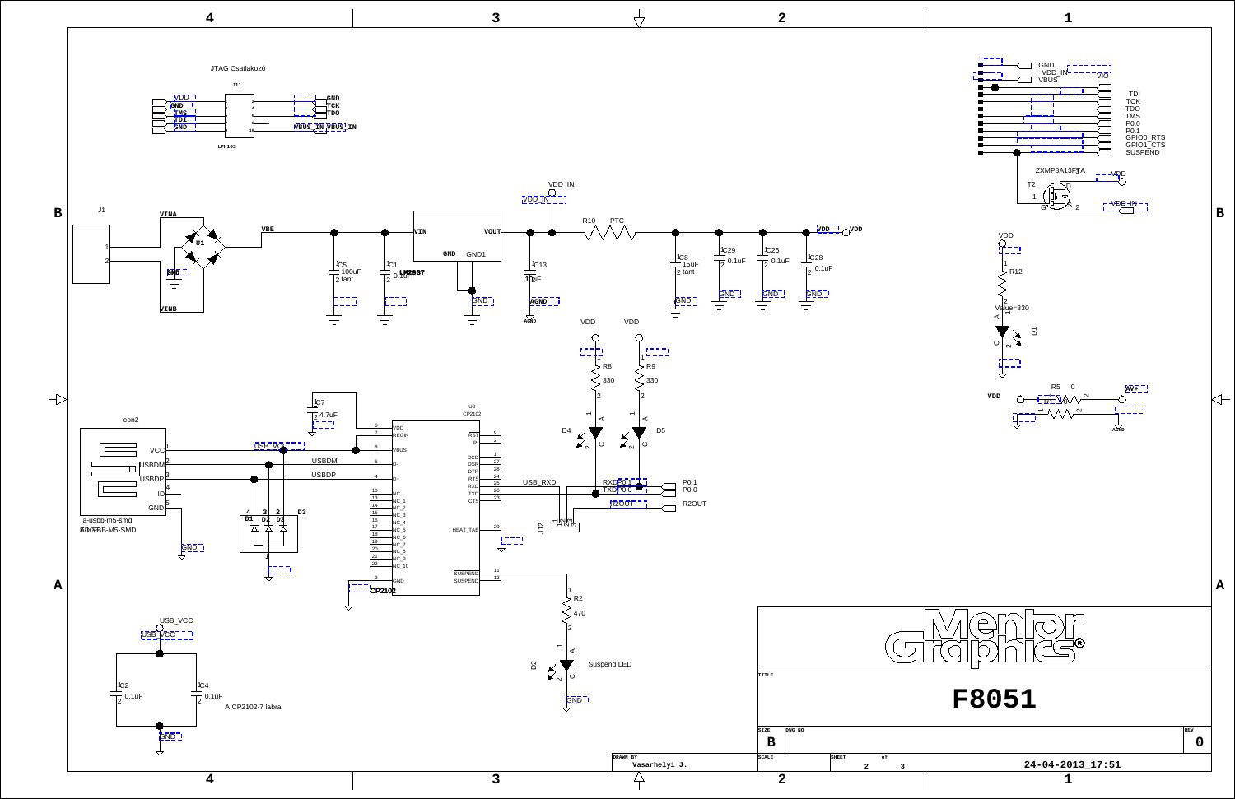<span id="page-1-19"></span><span id="page-1-12"></span><span id="page-1-11"></span><span id="page-1-9"></span><span id="page-1-4"></span>

<span id="page-1-32"></span><span id="page-1-22"></span><span id="page-1-17"></span><span id="page-1-13"></span><span id="page-1-10"></span><span id="page-1-8"></span><span id="page-1-6"></span>

<span id="page-1-35"></span><span id="page-1-34"></span><span id="page-1-33"></span><span id="page-1-31"></span><span id="page-1-30"></span><span id="page-1-29"></span><span id="page-1-28"></span><span id="page-1-27"></span><span id="page-1-26"></span><span id="page-1-25"></span><span id="page-1-24"></span><span id="page-1-23"></span><span id="page-1-21"></span><span id="page-1-20"></span><span id="page-1-18"></span><span id="page-1-16"></span><span id="page-1-15"></span><span id="page-1-14"></span><span id="page-1-7"></span><span id="page-1-5"></span><span id="page-1-3"></span><span id="page-1-2"></span><span id="page-1-1"></span><span id="page-1-0"></span>